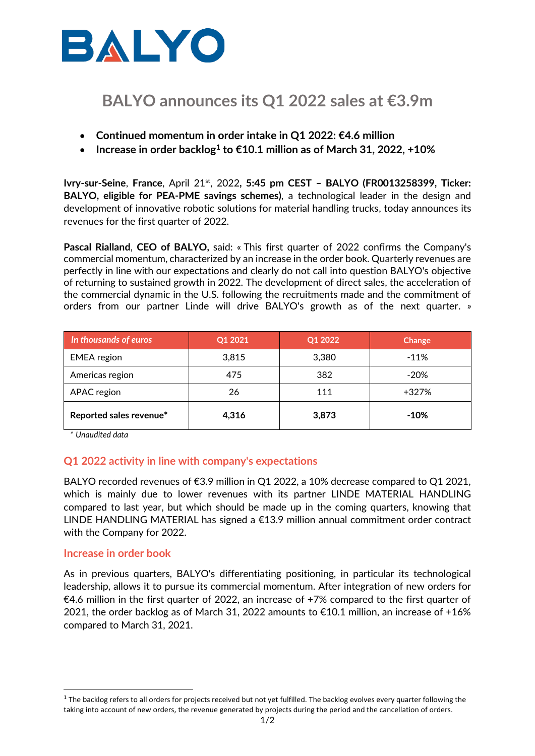

# **BALYO announces its Q1 2022 sales at €3.9m**

- **Continued momentum in order intake in Q1 2022: €4.6 million**
- **Increase in order backlog<sup>1</sup> to €10.1 million as of March 31, 2022, +10%**

**Ivry-sur-Seine**, **France**, April 21st , 2022**, 5:45 pm CEST – BALYO (FR0013258399, Ticker: BALYO, eligible for PEA-PME savings schemes)**, a technological leader in the design and development of innovative robotic solutions for material handling trucks, today announces its revenues for the first quarter of 2022.

**Pascal Rialland**, **CEO of BALYO,** said: « This first quarter of 2022 confirms the Company's commercial momentum, characterized by an increase in the order book. Quarterly revenues are perfectly in line with our expectations and clearly do not call into question BALYO's objective of returning to sustained growth in 2022. The development of direct sales, the acceleration of the commercial dynamic in the U.S. following the recruitments made and the commitment of orders from our partner Linde will drive BALYO's growth as of the next quarter. *»*

| In thousands of euros   | Q1 2021 | Q1 2022 | Change |
|-------------------------|---------|---------|--------|
| <b>EMEA</b> region      | 3,815   | 3,380   | $-11%$ |
| Americas region         | 475     | 382     | $-20%$ |
| APAC region             | 26      | 111     | +327%  |
| Reported sales revenue* | 4.316   | 3,873   | $-10%$ |

*\* Unaudited data*

## **Q1 2022 activity in line with company's expectations**

BALYO recorded revenues of €3.9 million in Q1 2022, a 10% decrease compared to Q1 2021, which is mainly due to lower revenues with its partner LINDE MATERIAL HANDLING compared to last year, but which should be made up in the coming quarters, knowing that LINDE HANDLING MATERIAL has signed a €13.9 million annual commitment order contract with the Company for 2022.

## **Increase in order book**

As in previous quarters, BALYO's differentiating positioning, in particular its technological leadership, allows it to pursue its commercial momentum. After integration of new orders for €4.6 million in the first quarter of 2022, an increase of +7% compared to the first quarter of 2021, the order backlog as of March 31, 2022 amounts to  $\epsilon$ 10.1 million, an increase of +16% compared to March 31, 2021.

 $^1$  The backlog refers to all orders for projects received but not yet fulfilled. The backlog evolves every quarter following the taking into account of new orders, the revenue generated by projects during the period and the cancellation of orders.